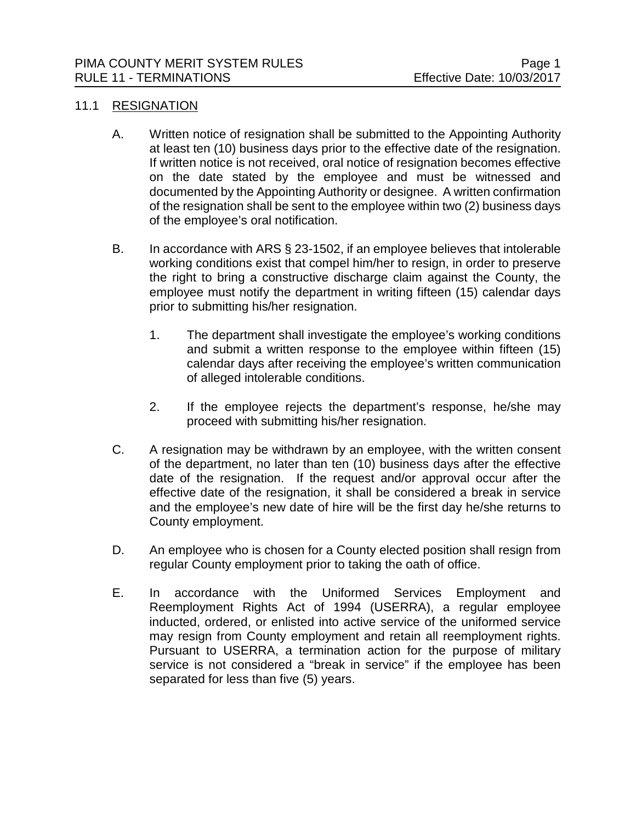#### 11.1 RESIGNATION

- A. Written notice of resignation shall be submitted to the Appointing Authority at least ten (10) business days prior to the effective date of the resignation. If written notice is not received, oral notice of resignation becomes effective on the date stated by the employee and must be witnessed and documented by the Appointing Authority or designee. A written confirmation of the resignation shall be sent to the employee within two (2) business days of the employee's oral notification.
- B. In accordance with ARS § 23-1502, if an employee believes that intolerable working conditions exist that compel him/her to resign, in order to preserve the right to bring a constructive discharge claim against the County, the employee must notify the department in writing fifteen (15) calendar days prior to submitting his/her resignation.
	- 1. The department shall investigate the employee's working conditions and submit a written response to the employee within fifteen (15) calendar days after receiving the employee's written communication of alleged intolerable conditions.
	- 2. If the employee rejects the department's response, he/she may proceed with submitting his/her resignation.
- C. A resignation may be withdrawn by an employee, with the written consent of the department, no later than ten (10) business days after the effective date of the resignation. If the request and/or approval occur after the effective date of the resignation, it shall be considered a break in service and the employee's new date of hire will be the first day he/she returns to County employment.
- D. An employee who is chosen for a County elected position shall resign from regular County employment prior to taking the oath of office.
- E. In accordance with the Uniformed Services Employment and Reemployment Rights Act of 1994 (USERRA), a regular employee inducted, ordered, or enlisted into active service of the uniformed service may resign from County employment and retain all reemployment rights. Pursuant to USERRA, a termination action for the purpose of military service is not considered a "break in service" if the employee has been separated for less than five (5) years.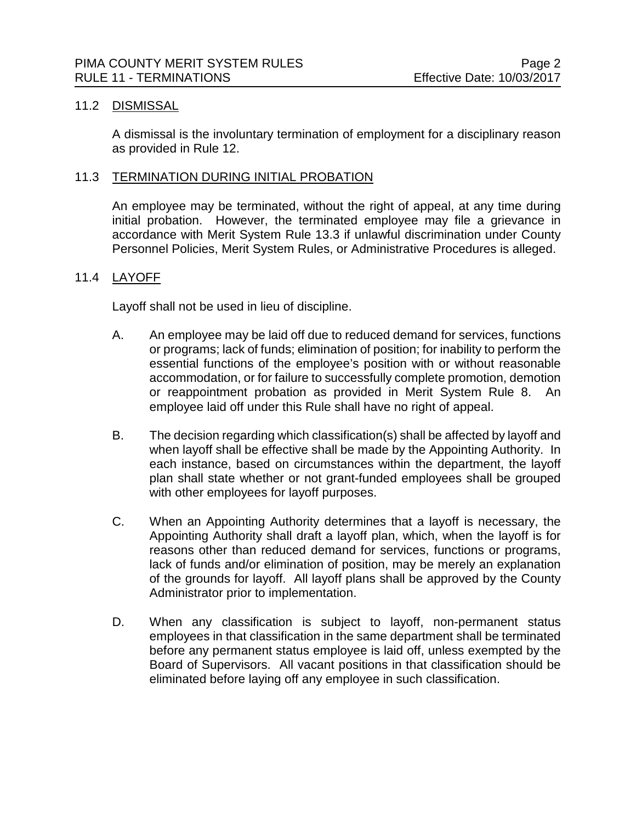# 11.2 DISMISSAL

A dismissal is the involuntary termination of employment for a disciplinary reason as provided in Rule 12.

### 11.3 TERMINATION DURING INITIAL PROBATION

An employee may be terminated, without the right of appeal, at any time during initial probation. However, the terminated employee may file a grievance in accordance with Merit System Rule 13.3 if unlawful discrimination under County Personnel Policies, Merit System Rules, or Administrative Procedures is alleged.

## 11.4 LAYOFF

Layoff shall not be used in lieu of discipline.

- A. An employee may be laid off due to reduced demand for services, functions or programs; lack of funds; elimination of position; for inability to perform the essential functions of the employee's position with or without reasonable accommodation, or for failure to successfully complete promotion, demotion or reappointment probation as provided in Merit System Rule 8. An employee laid off under this Rule shall have no right of appeal.
- B. The decision regarding which classification(s) shall be affected by layoff and when layoff shall be effective shall be made by the Appointing Authority. In each instance, based on circumstances within the department, the layoff plan shall state whether or not grant-funded employees shall be grouped with other employees for layoff purposes.
- C. When an Appointing Authority determines that a layoff is necessary, the Appointing Authority shall draft a layoff plan, which, when the layoff is for reasons other than reduced demand for services, functions or programs, lack of funds and/or elimination of position, may be merely an explanation of the grounds for layoff. All layoff plans shall be approved by the County Administrator prior to implementation.
- D. When any classification is subject to layoff, non-permanent status employees in that classification in the same department shall be terminated before any permanent status employee is laid off, unless exempted by the Board of Supervisors. All vacant positions in that classification should be eliminated before laying off any employee in such classification.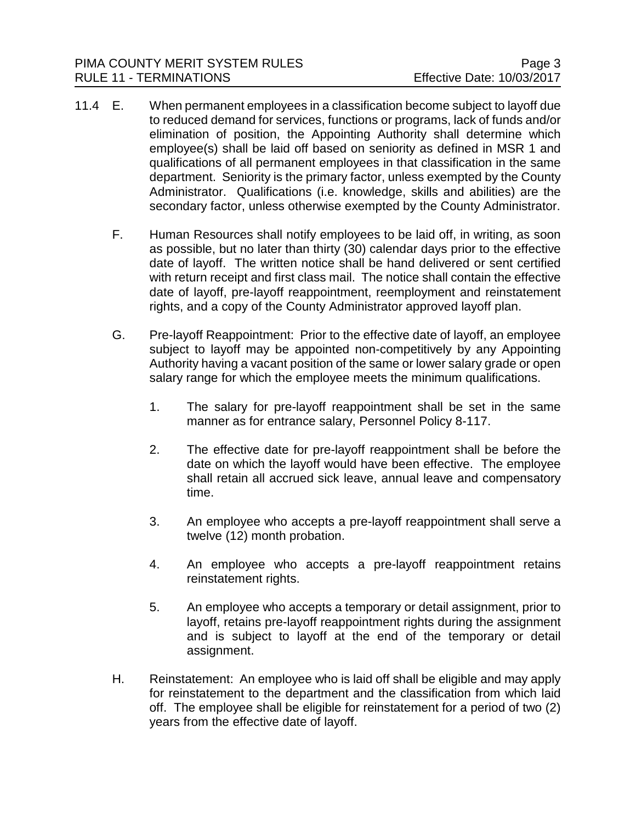- 11.4 E. When permanent employees in a classification become subject to layoff due to reduced demand for services, functions or programs, lack of funds and/or elimination of position, the Appointing Authority shall determine which employee(s) shall be laid off based on seniority as defined in MSR 1 and qualifications of all permanent employees in that classification in the same department. Seniority is the primary factor, unless exempted by the County Administrator. Qualifications (i.e. knowledge, skills and abilities) are the secondary factor, unless otherwise exempted by the County Administrator.
	- F. Human Resources shall notify employees to be laid off, in writing, as soon as possible, but no later than thirty (30) calendar days prior to the effective date of layoff. The written notice shall be hand delivered or sent certified with return receipt and first class mail. The notice shall contain the effective date of layoff, pre-layoff reappointment, reemployment and reinstatement rights, and a copy of the County Administrator approved layoff plan.
	- G. Pre-layoff Reappointment: Prior to the effective date of layoff, an employee subject to layoff may be appointed non-competitively by any Appointing Authority having a vacant position of the same or lower salary grade or open salary range for which the employee meets the minimum qualifications.
		- 1. The salary for pre-layoff reappointment shall be set in the same manner as for entrance salary, Personnel Policy 8-117.
		- 2. The effective date for pre-layoff reappointment shall be before the date on which the layoff would have been effective. The employee shall retain all accrued sick leave, annual leave and compensatory time.
		- 3. An employee who accepts a pre-layoff reappointment shall serve a twelve (12) month probation.
		- 4. An employee who accepts a pre-layoff reappointment retains reinstatement rights.
		- 5. An employee who accepts a temporary or detail assignment, prior to layoff, retains pre-layoff reappointment rights during the assignment and is subject to layoff at the end of the temporary or detail assignment.
	- H. Reinstatement: An employee who is laid off shall be eligible and may apply for reinstatement to the department and the classification from which laid off. The employee shall be eligible for reinstatement for a period of two (2) years from the effective date of layoff.